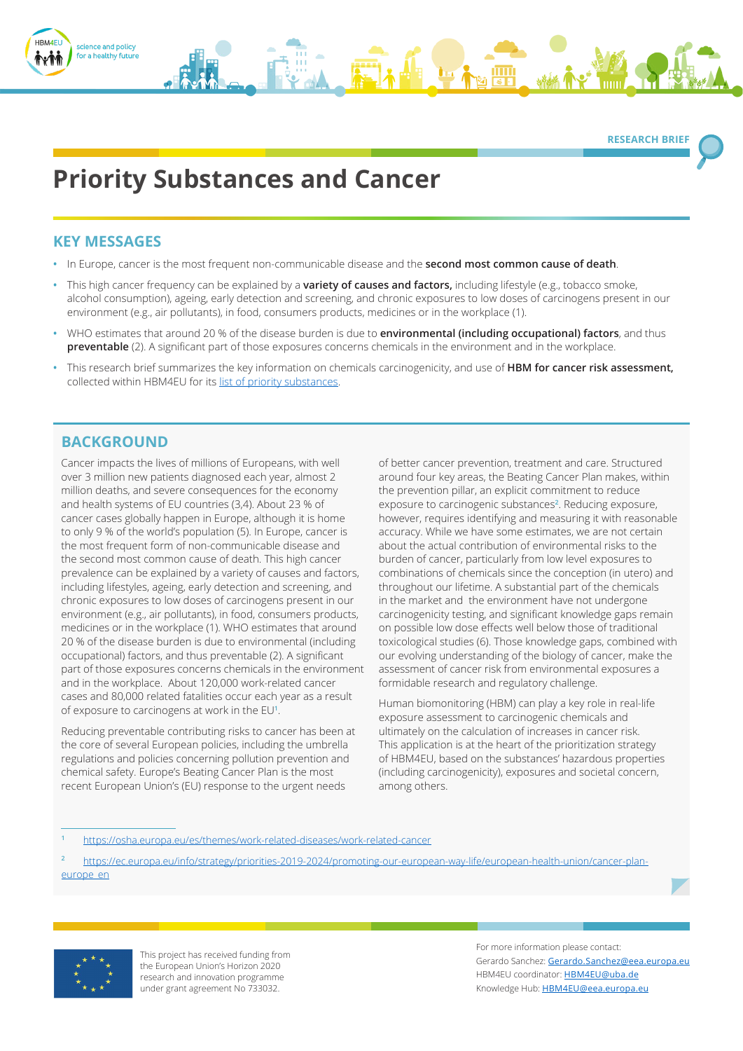

**RESEARCH BRIEF** 

# **Priority Substances and Cancer**

# **KEY MESSAGES**

- **•** In Europe, cancer is the most frequent non-communicable disease and the **second most common cause of death**.
- **•** This high cancer frequency can be explained by a **variety of causes and factors,** including lifestyle (e.g., tobacco smoke, alcohol consumption), ageing, early detection and screening, and chronic exposures to low doses of carcinogens present in our environment (e.g., air pollutants), in food, consumers products, medicines or in the workplace (1).
- **•** WHO estimates that around 20 % of the disease burden is due to **environmental (including occupational) factors**, and thus **preventable** (2). A significant part of those exposures concerns chemicals in the environment and in the workplace.
- **•** This research brief summarizes the key information on chemicals carcinogenicity, and use of **HBM for cancer risk assessment,** collected within HBM4EU for its [list of priority substances.](https://www.hbm4eu.eu/the-substances/)

# **BACKGROUND**

Cancer impacts the lives of millions of Europeans, with well over 3 million new patients diagnosed each year, almost 2 million deaths, and severe consequences for the economy and health systems of EU countries (3,4). About 23 % of cancer cases globally happen in Europe, although it is home to only 9 % of the world's population (5). In Europe, cancer is the most frequent form of non-communicable disease and the second most common cause of death. This high cancer prevalence can be explained by a variety of causes and factors, including lifestyles, ageing, early detection and screening, and chronic exposures to low doses of carcinogens present in our environment (e.g., air pollutants), in food, consumers products, medicines or in the workplace (1). WHO estimates that around 20 % of the disease burden is due to environmental (including occupational) factors, and thus preventable (2). A significant part of those exposures concerns chemicals in the environment and in the workplace. About 120,000 work-related cancer cases and 80,000 related fatalities occur each year as a result of exposure to carcinogens at work in the EU**<sup>1</sup>** .

Reducing preventable contributing risks to cancer has been at the core of several European policies, including the umbrella regulations and policies concerning pollution prevention and chemical safety. Europe's Beating Cancer Plan is the most recent European Union's (EU) response to the urgent needs

of better cancer prevention, treatment and care. Structured around four key areas, the Beating Cancer Plan makes, within the prevention pillar, an explicit commitment to reduce exposure to carcinogenic substances**<sup>2</sup>** . Reducing exposure, however, requires identifying and measuring it with reasonable accuracy. While we have some estimates, we are not certain about the actual contribution of environmental risks to the burden of cancer, particularly from low level exposures to combinations of chemicals since the conception (in utero) and throughout our lifetime. A substantial part of the chemicals in the market and the environment have not undergone carcinogenicity testing, and significant knowledge gaps remain on possible low dose effects well below those of traditional toxicological studies (6). Those knowledge gaps, combined with our evolving understanding of the biology of cancer, make the assessment of cancer risk from environmental exposures a formidable research and regulatory challenge.

Human biomonitoring (HBM) can play a key role in real-life exposure assessment to carcinogenic chemicals and ultimately on the calculation of increases in cancer risk. This application is at the heart of the prioritization strategy of HBM4EU, based on the substances' hazardous properties (including carcinogenicity), exposures and societal concern, among others.

**<sup>2</sup>** [https://ec.europa.eu/info/strategy/priorities-2019-2024/promoting-our-european-way-life/european-health-union/cancer-plan](https://ec.europa.eu/info/strategy/priorities-2019-2024/promoting-our-european-way-life/european-health-union/cancer-plan-europe_en)[europe\\_en](https://ec.europa.eu/info/strategy/priorities-2019-2024/promoting-our-european-way-life/european-health-union/cancer-plan-europe_en)



This project has received funding from the European Union's Horizon 2020 research and innovation programme under grant agreement No 733032.

For more information please contact: Gerardo Sanchez: [Gerardo.Sanchez@eea.europa.eu](mailto:Gerardo.Sanchez%40eea.europa.eu?subject=) HBM4EU coordinator: [HBM4EU@uba.de](mailto:HBM4EU%40uba.de?subject=) Knowledge Hub: [HBM4EU@eea.europa.eu](mailto:HBM4EU%40eea.europa.eu?subject=)

**<sup>1</sup>** <https://osha.europa.eu/es/themes/work-related-diseases/work-related-cancer>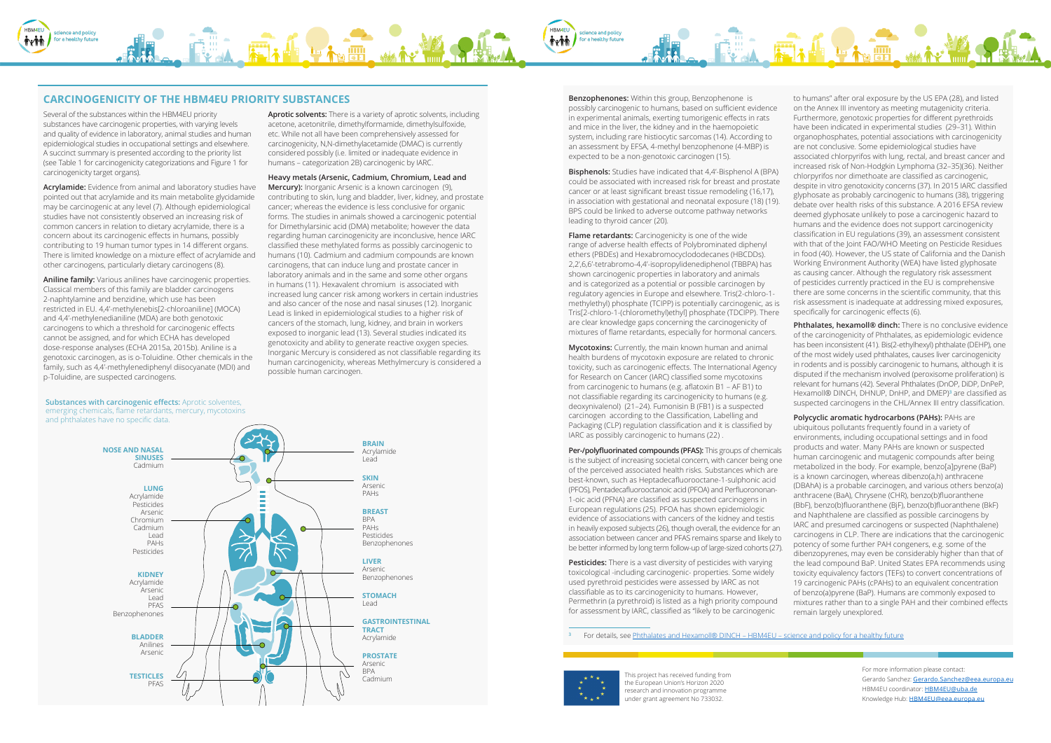This project has received funding from the European Union's Horizon 2020 research and innovation programme under grant agreement No 733032.

For more information please contact: Gerardo Sanchez: [Gerardo.Sanchez@eea.europa.eu](mailto:Gerardo.Sanchez%40eea.europa.eu?subject=) HBM4EU coordinator: [HBM4EU@uba.de](mailto:HBM4EU%40uba.de?subject=) Knowledge Hub: [HBM4EU@eea.europa.eu](mailto:HBM4EU%40eea.europa.eu?subject=)

Several of the substances within the HBM4EU priority substances have carcinogenic properties, with varying levels and quality of evidence in laboratory, animal studies and human epidemiological studies in occupational settings and elsewhere. A succinct summary is presented according to the priority list (see Table 1 for carcinogenicity categorizations and Figure 1 for carcinogenicity target organs).

**Acrylamide:** Evidence from animal and laboratory studies have pointed out that acrylamide and its main metabolite glycidamide may be carcinogenic at any level (7). Although epidemiological studies have not consistently observed an increasing risk of common cancers in relation to dietary acrylamide, there is a concern about its carcinogenic effects in humans, possibly contributing to 19 human tumor types in 14 different organs. There is limited knowledge on a mixture effect of acrylamide and other carcinogens, particularly dietary carcinogens (8).

**Aniline family:** Various anilines have carcinogenic properties. Classical members of this family are bladder carcinogens 2-naphtylamine and benzidine, which use has been restricted in EU. 4,4'-methylenebis[2-chloroaniline] (MOCA) and 4,4'-methylenedianiline (MDA) are both genotoxic carcinogens to which a threshold for carcinogenic effects cannot be assigned, and for which ECHA has developed dose-response analyses (ECHA 2015a, 2015b). Aniline is a genotoxic carcinogen, as is o-Toluidine. Other chemicals in the family, such as 4,4'-methylenediphenyl diisocyanate (MDI) and p-Toluidine, are suspected carcinogens.

**Aprotic solvents:** There is a variety of aprotic solvents, including acetone, acetonitrile, dimethylformamide, dimethylsulfoxide, etc. While not all have been comprehensively assessed for carcinogenicity, N,N-dimethylacetamide (DMAC) is currently considered possibly (i.e. limited or inadequate evidence in humans – categorization 2B) carcinogenic by IARC.

> **Mycotoxins:** Currently, the main known human and animal health burdens of mycotoxin exposure are related to chronic toxicity, such as carcinogenic effects. The International Agency for Research on Cancer (IARC) classified some mycotoxins from carcinogenic to humans (e.g. aflatoxin B1 – AF B1) to not classifiable regarding its carcinogenicity to humans (e.g. deoxynivalenol) (21–24). Fumonisin B (FB1) is a suspected carcinogen according to the Classification, Labelling and Packaging (CLP) regulation classification and it is classified by IARC as possibly carcinogenic to humans (22).

**Heavy metals (Arsenic, Cadmium, Chromium, Lead and Mercury):** Inorganic Arsenic is a known carcinogen (9), contributing to skin, lung and bladder, liver, kidney, and prostate cancer; whereas the evidence is less conclusive for organic forms. The studies in animals showed a carcinogenic potential for Dimethylarsinic acid (DMA) metabolite; however the data regarding human carcinogenicity are inconclusive, hence IARC classified these methylated forms as possibly carcinogenic to humans (10). Cadmium and cadmium compounds are known carcinogens, that can induce lung and prostate cancer in laboratory animals and in the same and some other organs in humans (11). Hexavalent chromium is associated with increased lung cancer risk among workers in certain industries and also cancer of the nose and nasal sinuses (12). Inorganic Lead is linked in epidemiological studies to a higher risk of cancers of the stomach, lung, kidney, and brain in workers exposed to inorganic lead (13). Several studies indicated its genotoxicity and ability to generate reactive oxygen species. Inorganic Mercury is considered as not classifiable regarding its human carcinogenicity, whereas Methylmercury is considered a possible human carcinogen.

**Benzophenones:** Within this group, Benzophenone is possibly carcinogenic to humans, based on sufficient evidence in experimental animals, exerting tumorigenic effects in rats and mice in the liver, the kidney and in the haemopoietic system, including rare histiocytic sarcomas (14). According to an assessment by EFSA, 4-methyl benzophenone (4-MBP) is expected to be a non-genotoxic carcinogen (15).

**Bisphenols:** Studies have indicated that 4,4'-Bisphenol A (BPA) could be associated with increased risk for breast and prostate cancer or at least significant breast tissue remodeling (16,17), in association with gestational and neonatal exposure (18) (19). BPS could be linked to adverse outcome pathway networks leading to thyroid cancer (20).

> **Phthalates, hexamoll® dinch:** There is no conclusive evidence of the carcinogenicity of Phthalates, as epidemiologic evidence has been inconsistent (41). Bis(2-ethylhexyl) phthalate (DEHP), one of the most widely used phthalates, causes liver carcinogenicity in rodents and is possibly carcinogenic to humans, although it is disputed if the mechanism involved (peroxisome proliferation) is relevant for humans (42). Several Phthalates (DnOP, DiDP, DnPeP, Hexamoll® DINCH, DHNUP, DnHP, and DMEP)**<sup>3</sup>** are classified as suspected carcinogens in the CHL/Annex III entry classification.

**Flame retardants:** Carcinogenicity is one of the wide range of adverse health effects of Polybrominated diphenyl ethers (PBDEs) and Hexabromocyclododecanes (HBCDDs). 2,2',6,6'-tetrabromo-4,4'-isopropylidenediphenol (TBBPA) has shown carcinogenic properties in laboratory and animals and is categorized as a potential or possible carcinogen by regulatory agencies in Europe and elsewhere. Tris(2-chloro-1 methylethyl) phosphate (TCIPP) is potentially carcinogenic, as is Tris[2-chloro-1-(chloromethyl)ethyl] phosphate (TDCIPP). There are clear knowledge gaps concerning the carcinogenicity of mixtures of flame retardants, especially for hormonal cancers.

to humans" after oral exposure by the US EPA (28), and listed on the Annex III inventory as meeting mutagenicity criteria. Furthermore, genotoxic properties for different pyrethroids have been indicated in experimental studies (29–31). Within organophosphates, potential associations with carcinogenicity are not conclusive. Some epidemiological studies have associated chlorpyrifos with lung, rectal, and breast cancer and increased risk of Non-Hodgkin Lymphoma (32–35)(36). Neither chlorpyrifos nor dimethoate are classified as carcinogenic, despite in vitro genotoxicity concerns (37). In 2015 IARC classified glyphosate as probably carcinogenic to humans (38), triggering debate over health risks of this substance. A 2016 EFSA review deemed glyphosate unlikely to pose a carcinogenic hazard to humans and the evidence does not support carcinogenicity classification in EU regulations (39), an assessment consistent with that of the Joint FAO/WHO Meeting on Pesticide Residues in food (40). However, the US state of California and the Danish Working Environment Authority (WEA) have listed glyphosate as causing cancer. Although the regulatory risk assessment of pesticides currently practiced in the EU is comprehensive there are some concerns in the scientific community, that this risk assessment is inadequate at addressing mixed exposures, specifically for carcinogenic effects (6).

**Per-/polyfluorinated compounds (PFAS):** This groups of chemicals is the subject of increasing societal concern, with cancer being one of the perceived associated health risks. Substances which are best-known, such as Heptadecafluorooctane-1-sulphonic acid (PFOS), Pentadecafluorooctanoic acid (PFOA) and Perfluorononan-1-oic acid (PFNA) are classified as suspected carcinogens in European regulations (25). PFOA has shown epidemiologic evidence of associations with cancers of the kidney and testis in heavily exposed subjects (26), though overall, the evidence for an association between cancer and PFAS remains sparse and likely to be better informed by long term follow-up of large-sized cohorts (27). **Pesticides:** There is a vast diversity of pesticides with varying toxicological -including carcinogenic- properties. Some widely used pyrethroid pesticides were assessed by IARC as not classifiable as to its carcinogenicity to humans. However, Permethrin (a pyrethroid) is listed as a high priority compound for assessment by IARC, classified as "likely to be carcinogenic **Polycyclic aromatic hydrocarbons (PAHs):** PAHs are ubiquitous pollutants frequently found in a variety of environments, including occupational settings and in food products and water. Many PAHs are known or suspected human carcinogenic and mutagenic compounds after being metabolized in the body. For example, benzo[a]pyrene (BaP) is a known carcinogen, whereas dibenzo(a,h) anthracene (DBAhA) is a probable carcinogen, and various others benzo(a) anthracene (BaA), Chrysene (CHR), benzo(b)fluoranthene (BbF), benzo(b)fluoranthene (BjF), benzo(b)fluoranthene (BkF) and Naphthalene are classified as possible carcinogens by IARC and presumed carcinogens or suspected (Naphthalene) carcinogens in CLP. There are indications that the carcinogenic potency of some further PAH congeners, e.g. some of the dibenzopyrenes, may even be considerably higher than that of the lead compound BaP. United States EPA recommends using toxicity equivalency factors (TEFs) to convert concentrations of 19 carcinogenic PAHs (cPAHs) to an equivalent concentration of benzo(a)pyrene (BaP). Humans are commonly exposed to mixtures rather than to a single PAH and their combined effects remain largely unexplored.



## **CARCINOGENICITY OF THE HBM4EU PRIORITY SUBSTANCES**

**Substances with carcinogenic effects:** Aprotic solventes,



**<sup>3</sup>** For details, see [Phthalates and Hexamoll® DINCH – HBM4EU – science and policy for a healthy future](https://www.hbm4eu.eu/hbm4eu-substances/phthalates-and-hexamoll-dinch/)

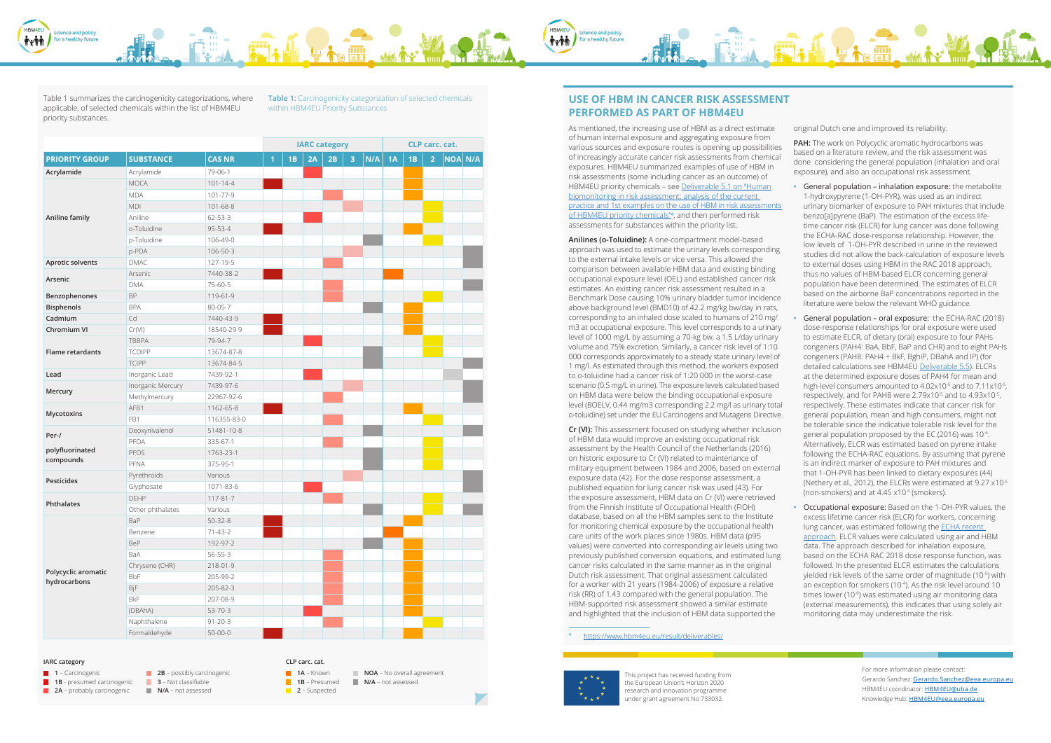This project has received funding from the European Union's Horizon 2020 research and innovation programme under grant agreement No 733032.



For more information please contact: Gerardo Sanchez: [Gerardo.Sanchez@eea.europa.eu](mailto:Gerardo.Sanchez%40eea.europa.eu?subject=) HBM4EU coordinator: [HBM4EU@uba.de](mailto:HBM4EU%40uba.de?subject=) Knowledge Hub: [HBM4EU@eea.europa.eu](mailto:HBM4EU%40eea.europa.eu?subject=)



Table 1 summarizes the carcinogenicity categorizations, where applicable, of selected chemicals within the list of HBM4EU priority substances.

**Table 1:** Carcinogenicity categorization of selected chemicals within HBM4EU Priority Substances

|                                     |                   |                |                | <b>IARC category</b> |    |    | CLP carc. cat. |     |    |    |                |                |  |
|-------------------------------------|-------------------|----------------|----------------|----------------------|----|----|----------------|-----|----|----|----------------|----------------|--|
| <b>PRIORITY GROUP</b>               | <b>SUBSTANCE</b>  | <b>CAS NR</b>  | $\overline{1}$ | 1B                   | 2A | 2B | 3              | N/A | 1A | 1B | $\overline{2}$ | <b>NOA N/A</b> |  |
| Acrylamide                          | Acrylamide        | 79-06-1        |                |                      |    |    |                |     |    |    |                |                |  |
|                                     | <b>MOCA</b>       | $101 - 14 - 4$ |                |                      |    |    |                |     |    |    |                |                |  |
|                                     | <b>MDA</b>        | 101-77-9       |                |                      |    |    |                |     |    |    |                |                |  |
|                                     | MDI               | 101-68-8       |                |                      |    |    |                |     |    |    |                |                |  |
| Aniline family                      | Aniline           | $62 - 53 - 3$  |                |                      |    |    |                |     |    |    |                |                |  |
|                                     | o-Toluidine       | 95-53-4        |                |                      |    |    |                |     |    |    |                |                |  |
|                                     | p-Toluidine       | 106-49-0       |                |                      |    |    |                |     |    |    |                |                |  |
|                                     | p-PDA             | 106-50-3       |                |                      |    |    |                |     |    |    |                |                |  |
| Aprotic solvents                    | <b>DMAC</b>       | 127-19-5       |                |                      |    |    |                |     |    |    |                |                |  |
|                                     | Arsenic           | 7440-38-2      |                |                      |    |    |                |     |    |    |                |                |  |
| Arsenic                             | <b>DMA</b>        | 75-60-5        |                |                      |    |    |                |     |    |    |                |                |  |
| Benzophenones                       | BP                | 119-61-9       |                |                      |    |    |                |     |    |    |                |                |  |
| <b>Bisphenols</b>                   | <b>BPA</b>        | 80-05-7        |                |                      |    |    |                |     |    |    |                |                |  |
| Cadmium                             | Cd                | 7440-43-9      |                |                      |    |    |                |     |    |    |                |                |  |
| Chromium VI                         | Cr(VI)            | 18540-29-9     |                |                      |    |    |                |     |    |    |                |                |  |
|                                     | <b>TBBPA</b>      | 79-94-7        |                |                      |    |    |                |     |    |    |                |                |  |
| Flame retardants                    | <b>TCDIPP</b>     | 13674-87-8     |                |                      |    |    |                |     |    |    |                |                |  |
|                                     | <b>TCIPP</b>      | 13674-84-5     |                |                      |    |    |                |     |    |    |                |                |  |
| Lead                                | Inorganic Lead    | 7439-92-1      |                |                      |    |    |                |     |    |    |                |                |  |
|                                     | Inorganic Mercury | 7439-97-6      |                |                      |    |    |                |     |    |    |                |                |  |
| Mercury                             | Methylmercury     | 22967-92-6     |                |                      |    |    |                |     |    |    |                |                |  |
|                                     | AFB1              | 1162-65-8      |                |                      |    |    |                |     |    |    |                |                |  |
| Mycotoxins                          | FB1               | 116355-83-0    |                |                      |    |    |                |     |    |    |                |                |  |
| Per-/                               | Deoxynivalenol    | 51481-10-8     |                |                      |    |    |                |     |    |    |                |                |  |
|                                     | PFOA              | 335-67-1       |                |                      |    |    |                |     |    |    |                |                |  |
| polyfluorinated                     | PFOS              | 1763-23-1      |                |                      |    |    |                |     |    |    |                |                |  |
| compounds                           | PFNA              | 375-95-1       |                |                      |    |    |                |     |    |    |                |                |  |
|                                     | Pyrethroids       | Various        |                |                      |    |    |                |     |    |    |                |                |  |
| Pesticides                          | Glyphosate        | 1071-83-6      |                |                      |    |    |                |     |    |    |                |                |  |
| Phthalates                          | DEHP              | $117 - 81 - 7$ |                |                      |    |    |                |     |    |    |                |                |  |
|                                     | Other phthalates  | Various        |                |                      |    |    |                |     |    |    |                |                |  |
|                                     | BaP               | $50 - 32 - 8$  |                |                      |    |    |                |     |    |    |                |                |  |
|                                     | Benzene           | $71 - 43 - 2$  |                |                      |    |    |                |     |    |    |                |                |  |
|                                     | <b>BeP</b>        | 192-97-2       |                |                      |    |    |                |     |    |    |                |                |  |
|                                     | BaA               | $56 - 55 - 3$  |                |                      |    |    |                |     |    |    |                |                |  |
|                                     | Chrysene (CHR)    | 218-01-9       |                |                      |    |    |                |     |    |    |                |                |  |
| Polycyclic aromatic<br>hydrocarbons | <b>BbF</b>        | 205-99-2       |                |                      |    |    |                |     |    |    |                |                |  |
|                                     | BjF               | 205-82-3       |                |                      |    |    |                |     |    |    |                |                |  |
|                                     | <b>BkF</b>        | 207-08-9       |                |                      |    |    |                |     |    |    |                |                |  |
|                                     | (DBAhA)           | 53-70-3        |                |                      |    |    |                |     |    |    |                |                |  |
|                                     | Naphthalene       | $91 - 20 - 3$  |                |                      |    |    |                |     |    |    |                |                |  |
|                                     | Formaldehyde      | $50 - 00 - 0$  |                |                      |    |    |                |     |    |    |                |                |  |

**USE OF HBM IN CANCER RISK ASSESSMENT PERFORMED AS PART OF HBM4EU** 

science and policy

for a healthy future

**i**rii

**1B** – Presumed **NOA** – No overall agreement **N/A** – not assessed

**2** – Suspected

**Anilines (o-Toluidine):** A one-compartment model-based approach was used to estimate the urinary levels corresponding to the external intake levels or vice versa. This allowed the comparison between available HBM data and existing binding occupational exposure level (OEL) and established cancer risk estimates. An existing cancer risk assessment resulted in a Benchmark Dose causing 10% urinary bladder tumor incidence above background level (BMD10) of 42.2 mg/kg bw/day in rats, corresponding to an inhaled dose scaled to humans of 210 mg/ m3 at occupational exposure. This level corresponds to a urinary level of 1000 mg/L by assuming a 70-kg bw, a 1.5 L/day urinary volume and 75% excretion. Similarly, a cancer risk level of 1:10 000 corresponds approximately to a steady state urinary level of 1 mg/l. As estimated through this method, the workers exposed to o-toluidine had a cancer risk of 1:20 000 in the worst-case scenario (0.5 mg/L in urine). The exposure levels calculated based on HBM data were below the binding occupational exposure level (BOELV, 0.44 mg/m3 corresponding 2.2 mg/l as urinary total o-toluidine) set under the EU Carcinogens and Mutagens Directive.

As mentioned, the increasing use of HBM as a direct estimate of human internal exposure and aggregating exposure from various sources and exposure routes is opening up possibilities of increasingly accurate cancer risk assessments from chemical exposures. HBM4EU summarized examples of use of HBM in risk assessments (some including cancer as an outcome) of HBM4EU priority chemicals – see [Deliverable 5.1 on "Human](https://www.hbm4eu.eu/wp-content/uploads/2018/09/Deliverable-5.1-Human-biomonitoring-in-risk-assessment-analysis-of-the-current-practice-and-1st-examples-on-the-use-of-HBM-in-risk-assessments-of-HBM4EU-prio.pdf) [biomonitoring in risk assessment: analysis of the current](https://www.hbm4eu.eu/wp-content/uploads/2018/09/Deliverable-5.1-Human-biomonitoring-in-risk-assessment-analysis-of-the-current-practice-and-1st-examples-on-the-use-of-HBM-in-risk-assessments-of-HBM4EU-prio.pdf)  [practice and 1st examples on the use of HBM in risk assessments](https://www.hbm4eu.eu/wp-content/uploads/2018/09/Deliverable-5.1-Human-biomonitoring-in-risk-assessment-analysis-of-the-current-practice-and-1st-examples-on-the-use-of-HBM-in-risk-assessments-of-HBM4EU-prio.pdf) [of HBM4EU priority chemicals"](https://www.hbm4eu.eu/wp-content/uploads/2018/09/Deliverable-5.1-Human-biomonitoring-in-risk-assessment-analysis-of-the-current-practice-and-1st-examples-on-the-use-of-HBM-in-risk-assessments-of-HBM4EU-prio.pdf)**<sup>4</sup>** , and then performed risk assessments for substances within the priority list. original Dutch one and improved its reliability. **PAH:** The work on Polycyclic aromatic hydrocarbons was based on a literature review, and the risk assessment was done considering the general population (inhalation and oral exposure), and also an occupational risk assessment. 1-hydroxypyrene (1-OH-PYR), was used as an indirect benzo[a]pyrene (BaP). The estimation of the excess life-

**Cr (VI):** This assessment focused on studying whether inclusion of HBM data would improve an existing occupational risk assessment by the Health Council of the Netherlands (2016) on historic exposure to Cr (VI) related to maintenance of military equipment between 1984 and 2006, based on external exposure data (42). For the dose response assessment, a published equation for lung cancer risk was used (43). For the exposure assessment, HBM data on Cr (VI) were retrieved from the Finnish Institute of Occupational Health (FIOH) database, based on all the HBM samples sent to the Institute for monitoring chemical exposure by the occupational health care units of the work places since 1980s. HBM data (p95 values) were converted into corresponding air levels using two previously published conversion equations, and estimated lung cancer risks calculated in the same manner as in the original Dutch risk assessment. That original assessment calculated for a worker with 21 years (1984-2006) of exposure a relative risk (RR) of 1.43 compared with the general population. The HBM-supported risk assessment showed a similar estimate and highlighted that the inclusion of HBM data supported the

### **IARC category CLP carc. cat.**

- **1** Carcinogenic
- **1B** presumed carcinogenic
- **2A** probably carcinogenic

**2B** – possibly carcinogenic **3** – Not classifiable

**N/A** – not assessed

# **1A** – Known

**<sup>4</sup>** [https://www.hbm4eu.eu/result/deliverables/](https://www.hbm4eu.eu/result/deliverables/ )



- **•** General population inhalation exposure: the metabolite urinary biomarker of exposure to PAH mixtures that include time cancer risk (ELCR) for lung cancer was done following the ECHA-RAC dose-response relationship. However, the low levels of 1-OH-PYR described in urine in the reviewed studies did not allow the back-calculation of exposure levels to external doses using HBM in the RAC 2018 approach, thus no values of HBM-based ELCR concerning general population have been determined. The estimates of ELCR based on the airborne BaP concentrations reported in the literature were below the relevant WHO guidance.
- **•** General population oral exposure: the ECHA-RAC (2018) dose-response relationships for oral exposure were used to estimate ELCR, of dietary (oral) exposure to four PAHs congeners (PAH4: BaA, BbF, BaP and CHR) and to eight PAHs congeners (PAH8: PAH4 + BkF, BghiP, DBahA and IP) (for detailed calculations see HBM4E[U](https://www.hbm4eu.eu/work-packages/deliverable-5-5-human-biomonitoring-in-risk-assessment-2nd-set-of-examples-on-the-use-of-hbm-in-risk-assessments-of-hbm4eu-priority-chemicals/) [Deliverable 5.5](https://www.hbm4eu.eu/result/deliverables/)[\).](https://www.hbm4eu.eu/work-packages/deliverable-5-5-human-biomonitoring-in-risk-assessment-2nd-set-of-examples-on-the-use-of-hbm-in-risk-assessments-of-hbm4eu-priority-chemicals/) ELCRs at the determined exposure doses of PAH4 for mean and high-level consumers amounted to 4.02x10<sup>-5</sup> and to 7.11x10<sup>-5</sup>, respectively, and for PAH8 were 2.79x10<sup>-5</sup> and to 4.93x10<sup>-5</sup>, respectively. These estimates indicate that cancer risk for general population, mean and high consumers, might not be tolerable since the indicative tolerable risk level for the general population proposed by the EC (2016) was 10 $\cdot$ <sup>6</sup>. Alternatively, ELCR was estimated based on pyrene intake following the ECHA-RAC equations. By assuming that pyrene is an indirect marker of exposure to PAH mixtures and that 1-OH-PYR has been linked to dietary exposures (44) (Nethery et al., 2012), the ELCRs were estimated at 9.27 x10<sup>-5</sup> (non-smokers) and at  $4.45 \times 10^{-4}$  (smokers).
- **•** Occupational exposure: Based on the 1-OH-PYR values, the excess lifetime cancer risk (ELCR) for workers, concerning lung cancer, was estimated following the [ECHA recent](https://echa.europa.eu/fi/applying-forauthorisation/evaluating-applications) [approach.](https://echa.europa.eu/fi/applying-forauthorisation/evaluating-applications) ELCR values were calculated using air and HBM data. The approach described for inhalation exposure, based on the ECHA RAC 2018 dose response function, was followed. In the presented ELCR estimates the calculations yielded risk levels of the same order of magnitude (10<sup>-5</sup>) with an exception for smokers (10<sup>-4</sup>). As the risk level around 10 times lower (10-6) was estimated using air monitoring data (external measurements), this indicates that using solely air monitoring data may underestimate the risk.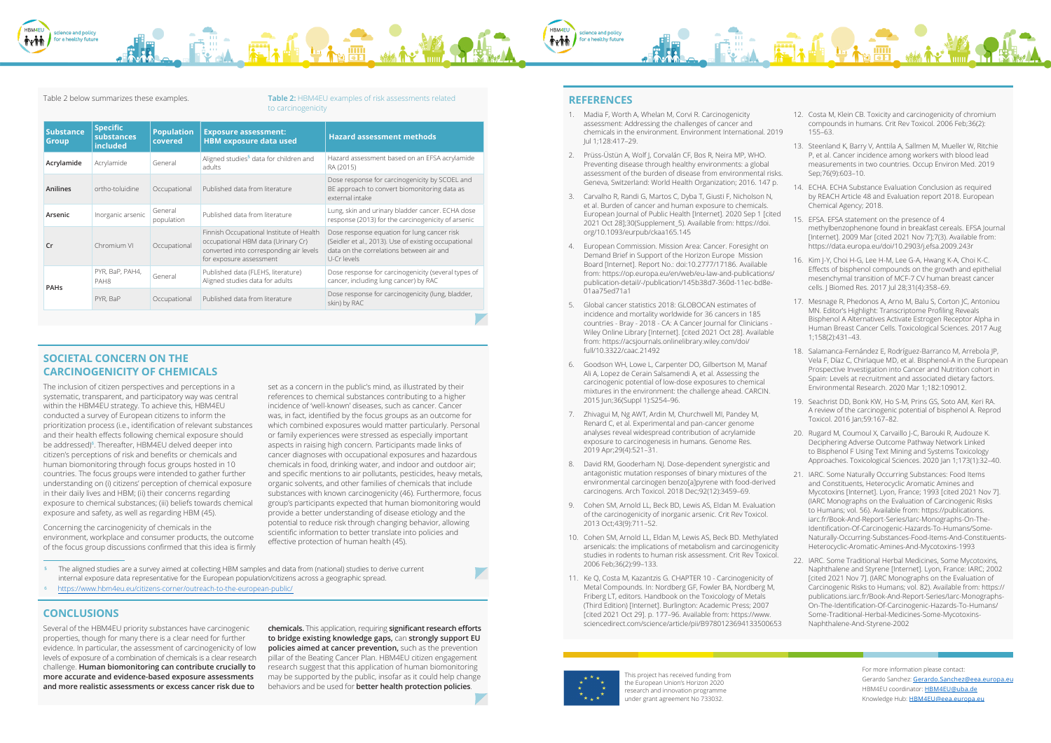This project has received funding from the European Union's Horizon 2020 research and innovation programme under grant agreement No 733032.

For more information please contact: Gerardo Sanchez: [Gerardo.Sanchez@eea.europa.eu](mailto:Gerardo.Sanchez%40eea.europa.eu?subject=) HBM4EU coordinator: [HBM4EU@uba.de](mailto:HBM4EU%40uba.de?subject=) Knowledge Hub: [HBM4EU@eea.europa.eu](mailto:HBM4EU%40eea.europa.eu?subject=)



#### Table 2 below summarizes these examples. **Table 2:** HBM4EU examples of risk assessments related to carcinogenicity

set as a concern in the public's mind, as illustrated by their references to chemical substances contributing to a higher incidence of 'well-known' diseases, such as cancer. Cancer was, in fact, identified by the focus groups as an outcome for which combined exposures would matter particularly. Personal or family experiences were stressed as especially important aspects in raising high concern. Participants made links of cancer diagnoses with occupational exposures and hazardous chemicals in food, drinking water, and indoor and outdoor air; and specific mentions to air pollutants, pesticides, heavy metals, organic solvents, and other families of chemicals that include substances with known carcinogenicity (46). Furthermore, focus group's participants expected that human biomonitoring would provide a better understanding of disease etiology and the potential to reduce risk through changing behavior, allowing scientific information to better translate into policies and effective protection of human health (45).

### **CONCLUSIONS**

Several of the HBM4EU priority substances have carcinogenic properties, though for many there is a clear need for further evidence. In particular, the assessment of carcinogenicity of low levels of exposure of a combination of chemicals is a clear research challenge. **Human biomonitoring can contribute crucially to more accurate and evidence-based exposure assessments and more realistic assessments or excess cancer risk due to** 

**chemicals.** This application, requiring **significant research efforts to bridge existing knowledge gaps,** can **strongly support EU policies aimed at cancer prevention,** such as the prevention pillar of the Beating Cancer Plan. HBM4EU citizen engagement research suggest that this application of human biomonitoring may be supported by the public, insofar as it could help change behaviors and be used for **better health protection policies**.

# **REFERENCES**

- 1. Madia F, Worth A, Whelan M, Corvi R. Carcinogenicity assessment: Addressing the challenges of cancer and chemicals in the environment. Environment International. 2019 Jul 1;128:417–29.
- 2. Prüss-Üstün A, Wolf J, Corvalán CF, Bos R, Neira MP, WHO. Preventing disease through healthy environments: a global assessment of the burden of disease from environmental risks. Geneva, Switzerland: World Health Organization; 2016. 147 p.
- 3. Carvalho R, Randi G, Martos C, Dyba T, Giusti F, Nicholson N, et al. Burden of cancer and human exposure to chemicals. European Journal of Public Health [Internet]. 2020 Sep 1 [cited 2021 Oct 28];30(Supplement\_5). Available from: [https://doi.](https://doi.org/10.1093/eurpub/ckaa165.145) [org/10.1093/eurpub/ckaa165.145](https://doi.org/10.1093/eurpub/ckaa165.145)
- 4. European Commission. Mission Area: Cancer. Foresight on Demand Brief in Support of the Horizon Europe Mission Board [Internet]. Report No.: doi:10.2777/17186. Available from: [https://op.europa.eu/en/web/eu-law-and-publications/](https://op.europa.eu/en/web/eu-law-and-publications/publication-detail/-/publication/145b38d7-360d-11ec-bd8e-01aa75ed71a1) [publication-detail/-/publication/145b38d7-360d-11ec-bd8e-](https://op.europa.eu/en/web/eu-law-and-publications/publication-detail/-/publication/145b38d7-360d-11ec-bd8e-01aa75ed71a1)[01aa75ed71a1](https://op.europa.eu/en/web/eu-law-and-publications/publication-detail/-/publication/145b38d7-360d-11ec-bd8e-01aa75ed71a1)
- 5. Global cancer statistics 2018: GLOBOCAN estimates of incidence and mortality worldwide for 36 cancers in 185 countries - Bray - 2018 - CA: A Cancer Journal for Clinicians - Wiley Online Library [Internet]. [cited 2021 Oct 28]. Available from: [https://acsjournals.onlinelibrary.wiley.com/doi/](https://acsjournals.onlinelibrary.wiley.com/doi/full/10.3322/caac.21492) [full/10.3322/caac.21492](https://acsjournals.onlinelibrary.wiley.com/doi/full/10.3322/caac.21492)
- 6. Goodson WH, Lowe L, Carpenter DO, Gilbertson M, Manaf Ali A, Lopez de Cerain Salsamendi A, et al. Assessing the carcinogenic potential of low-dose exposures to chemical mixtures in the environment: the challenge ahead. CARCIN. 2015 Jun;36(Suppl 1):S254–96.
- 7. Zhivagui M, Ng AWT, Ardin M, Churchwell MI, Pandey M, Renard C, et al. Experimental and pan-cancer genome analyses reveal widespread contribution of acrylamide exposure to carcinogenesis in humans. Genome Res. 2019 Apr;29(4):521–31.
- 8. David RM, Gooderham NJ. Dose-dependent synergistic and antagonistic mutation responses of binary mixtures of the environmental carcinogen benzo[a]pyrene with food-derived carcinogens. Arch Toxicol. 2018 Dec;92(12):3459–69.
- 9. Cohen SM, Arnold LL, Beck BD, Lewis AS, Eldan M. Evaluation of the carcinogenicity of inorganic arsenic. Crit Rev Toxicol. 2013 Oct;43(9):711–52.
- 10. Cohen SM, Arnold LL, Eldan M, Lewis AS, Beck BD. Methylated arsenicals: the implications of metabolism and carcinogenicity studies in rodents to human risk assessment. Crit Rev Toxicol. 2006 Feb;36(2):99–133.
- 11. Ke Q, Costa M, Kazantzis G. CHAPTER 10 Carcinogenicity of Metal Compounds. In: Nordberg GF, Fowler BA, Nordberg M, Friberg LT, editors. Handbook on the Toxicology of Metals (Third Edition) [Internet]. Burlington: Academic Press; 2007 [cited 2021 Oct 29]. p. 177–96. Available from: [https://www.](https://www.sciencedirect.com/science/article/pii/B9780123694133500653 ) [sciencedirect.com/science/article/pii/B9780123694133500653](https://www.sciencedirect.com/science/article/pii/B9780123694133500653 )



- 12. Costa M, Klein CB. Toxicity and carcinogenicity of chromium compounds in humans. Crit Rev Toxicol. 2006 Feb;36(2): 155–63.
- 13. Steenland K, Barry V, Anttila A, Sallmen M, Mueller W, Ritchie P, et al. Cancer incidence among workers with blood lead measurements in two countries. Occup Environ Med. 2019 Sep;76(9):603–10.
- 14. ECHA. ECHA Substance Evaluation Conclusion as required by REACH Article 48 and Evaluation report 2018. European Chemical Agency; 2018.
- 15. EFSA. EFSA statement on the presence of 4 methylbenzophenone found in breakfast cereals. EFSA Journal [Internet]. 2009 Mar [cited 2021 Nov 7];7(3). Available from: <https://data.europa.eu/doi/10.2903/j.efsa.2009.243r>
- 16. Kim J-Y, Choi H-G, Lee H-M, Lee G-A, Hwang K-A, Choi K-C. Effects of bisphenol compounds on the growth and epithelial mesenchymal transition of MCF-7 CV human breast cancer cells. J Biomed Res. 2017 Jul 28;31(4):358–69.
- 17. Mesnage R, Phedonos A, Arno M, Balu S, Corton JC, Antoniou MN. Editor's Highlight: Transcriptome Profiling Reveals Bisphenol A Alternatives Activate Estrogen Receptor Alpha in Human Breast Cancer Cells. Toxicological Sciences. 2017 Aug 1;158(2):431–43.
- 18. Salamanca-Fernández E, Rodríguez-Barranco M, Arrebola JP, Vela F, Díaz C, Chirlaque MD, et al. Bisphenol-A in the European Prospective Investigation into Cancer and Nutrition cohort in Spain: Levels at recruitment and associated dietary factors. Environmental Research. 2020 Mar 1;182:109012.
- 19. Seachrist DD, Bonk KW, Ho S-M, Prins GS, Soto AM, Keri RA. A review of the carcinogenic potential of bisphenol A. Reprod Toxicol. 2016 Jan;59:167–82.
- 20. Rugard M, Coumoul X, Carvaillo J-C, Barouki R, Audouze K. Deciphering Adverse Outcome Pathway Network Linked to Bisphenol F Using Text Mining and Systems Toxicology Approaches. Toxicological Sciences. 2020 Jan 1;173(1):32–40.
- 21. IARC. Some Naturally Occurring Substances: Food Items and Constituents, Heterocyclic Aromatic Amines and Mycotoxins [Internet]. Lyon, France; 1993 [cited 2021 Nov 7]. (IARC Monographs on the Evaluation of Carcinogenic Risks to Humans; vol. 56). Available from: [https://publications.](https://publications.iarc.fr/Book-And-Report-Series/Iarc-Monographs-On-The-Identification-Of-Carcinogenic-Hazards-To-Humans/Some-Naturally-Occurring-Substances-Food-Items-And-Constituents-Heterocyclic-Aromatic-Amines-And-Mycotoxins-1993) [iarc.fr/Book-And-Report-Series/Iarc-Monographs-On-The-](https://publications.iarc.fr/Book-And-Report-Series/Iarc-Monographs-On-The-Identification-Of-Carcinogenic-Hazards-To-Humans/Some-Naturally-Occurring-Substances-Food-Items-And-Constituents-Heterocyclic-Aromatic-Amines-And-Mycotoxins-1993)[Identification-Of-Carcinogenic-Hazards-To-Humans/Some-](https://publications.iarc.fr/Book-And-Report-Series/Iarc-Monographs-On-The-Identification-Of-Carcinogenic-Hazards-To-Humans/Some-Naturally-Occurring-Substances-Food-Items-And-Constituents-Heterocyclic-Aromatic-Amines-And-Mycotoxins-1993)[Naturally-Occurring-Substances-Food-Items-And-Constituents-](https://publications.iarc.fr/Book-And-Report-Series/Iarc-Monographs-On-The-Identification-Of-Carcinogenic-Hazards-To-Humans/Some-Naturally-Occurring-Substances-Food-Items-And-Constituents-Heterocyclic-Aromatic-Amines-And-Mycotoxins-1993)[Heterocyclic-Aromatic-Amines-And-Mycotoxins-1993](https://publications.iarc.fr/Book-And-Report-Series/Iarc-Monographs-On-The-Identification-Of-Carcinogenic-Hazards-To-Humans/Some-Naturally-Occurring-Substances-Food-Items-And-Constituents-Heterocyclic-Aromatic-Amines-And-Mycotoxins-1993)
- 22. IARC. Some Traditional Herbal Medicines, Some Mycotoxins, Naphthalene and Styrene [Internet]. Lyon, France: IARC; 2002 [cited 2021 Nov 7]. (IARC Monographs on the Evaluation of Carcinogenic Risks to Humans; vol. 82). Available from: [https://](https://publications.iarc.fr/Book-And-Report-Series/Iarc-Monographs-On-The-Identification-Of-Carcinogenic-Hazards-To-Humans/Some-Traditional-Herbal-Medicines-Some-Mycotoxins-Naphthalene-And-Styrene-2002) [publications.iarc.fr/Book-And-Report-Series/Iarc-Monographs-](https://publications.iarc.fr/Book-And-Report-Series/Iarc-Monographs-On-The-Identification-Of-Carcinogenic-Hazards-To-Humans/Some-Traditional-Herbal-Medicines-Some-Mycotoxins-Naphthalene-And-Styrene-2002)[On-The-Identification-Of-Carcinogenic-Hazards-To-Humans/](https://publications.iarc.fr/Book-And-Report-Series/Iarc-Monographs-On-The-Identification-Of-Carcinogenic-Hazards-To-Humans/Some-Traditional-Herbal-Medicines-Some-Mycotoxins-Naphthalene-And-Styrene-2002) [Some-Traditional-Herbal-Medicines-Some-Mycotoxins-](https://publications.iarc.fr/Book-And-Report-Series/Iarc-Monographs-On-The-Identification-Of-Carcinogenic-Hazards-To-Humans/Some-Traditional-Herbal-Medicines-Some-Mycotoxins-Naphthalene-And-Styrene-2002)[Naphthalene-And-Styrene-2002](https://publications.iarc.fr/Book-And-Report-Series/Iarc-Monographs-On-The-Identification-Of-Carcinogenic-Hazards-To-Humans/Some-Traditional-Herbal-Medicines-Some-Mycotoxins-Naphthalene-And-Styrene-2002)

| <b>Substance</b><br><b>Group</b> | <b>Specific</b><br>substances<br>included      | <b>Population</b><br>covered | <b>Exposure assessment:</b><br><b>HBM exposure data used</b>                                                                                         | <b>Hazard assessment methods</b>                                                                                                                               |  |  |  |  |  |
|----------------------------------|------------------------------------------------|------------------------------|------------------------------------------------------------------------------------------------------------------------------------------------------|----------------------------------------------------------------------------------------------------------------------------------------------------------------|--|--|--|--|--|
| Acrylamide                       | Acrylamide                                     | General                      | Aligned studies <sup>5</sup> data for children and<br>adults                                                                                         | Hazard assessment based on an EFSA acrylamide<br>RA (2015)                                                                                                     |  |  |  |  |  |
| Anilines                         | ortho-toluidine                                | Occupational                 | Published data from literature                                                                                                                       | Dose response for carcinogenicity by SCOEL and<br>BE approach to convert biomonitoring data as<br>external intake                                              |  |  |  |  |  |
| Arsenic                          | Inorganic arsenic                              | General<br>population        | Published data from literature                                                                                                                       | Lung, skin and urinary bladder cancer. ECHA dose<br>response (2013) for the carcinogenicity of arsenic                                                         |  |  |  |  |  |
| Cr                               | Chromium VI                                    | Occupational                 | Finnish Occupational Institute of Health<br>occupational HBM data (Urinary Cr)<br>converted into corresponding air levels<br>for exposure assessment | Dose response equation for lung cancer risk<br>(Seidler et al., 2013). Use of existing occupational<br>data on the correlations between air and<br>U-Cr levels |  |  |  |  |  |
| <b>PAHs</b>                      | PYR, BaP, PAH4,<br>General<br>PAH <sub>8</sub> |                              | Published data (FLEHS, literature)<br>Aligned studies data for adults                                                                                | Dose response for carcinogenicity (several types of<br>cancer, including lung cancer) by RAC                                                                   |  |  |  |  |  |
|                                  | PYR, BaP                                       | Occupational                 | Published data from literature                                                                                                                       | Dose response for carcinogenicity (lung, bladder,<br>skin) by RAC                                                                                              |  |  |  |  |  |

# **SOCIETAL CONCERN ON THE CARCINOGENICITY OF CHEMICALS**

The inclusion of citizen perspectives and perceptions in a systematic, transparent, and participatory way was central within the HBM4EU strategy. To achieve this, HBM4EU conducted a survey of European citizens to inform the prioritization process (i.e., identification of relevant substances and their health effects following chemical exposure should be addressed)<sup>6</sup>. Thereafter, HBM4EU delved deeper into citizen's perceptions of risk and benefits or chemicals and human biomonitoring through focus groups hosted in 10 countries. The focus groups were intended to gather further understanding on (i) citizens' perception of chemical exposure in their daily lives and HBM; (ii) their concerns regarding exposure to chemical substances; (iii) beliefs towards chemical exposure and safety, as well as regarding HBM (45).

Concerning the carcinogenicity of chemicals in the environment, workplace and consumer products, the outcome of the focus group discussions confirmed that this idea is firmly

- **5** [The aligned studies are a survey aimed at collecting HBM samples and data](https://www.hbm4eu.eu/citizens-corner/outreach-to-the-european-public/) from (national) studies to derive current internal exposure data representative for the European population/citizens across a geographic spread.
- 6 https://www.hbm4eu.eu/citizens-corner/outreach-to-the-european-public/